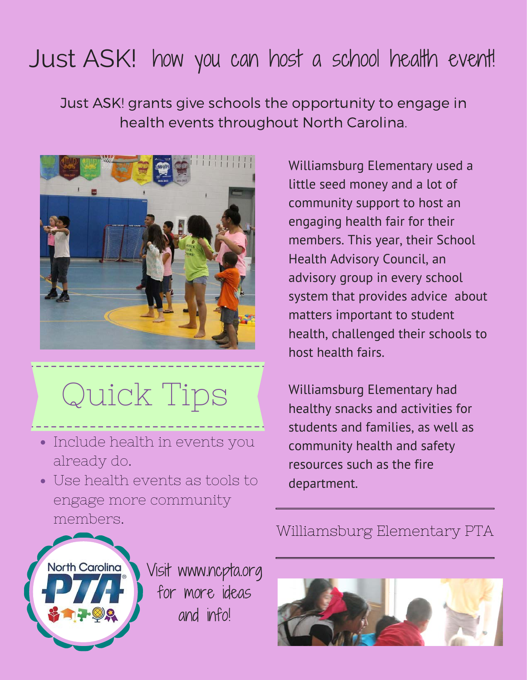## Just ASK! how you can host a school health event!

Just ASK! grants give schools the opportunity to engage in health events throughout North Carolina.



Quick Tips

- Include health in events you already do.
- Use health events as tools to engage more community members.

Williamsburg Elementary used a little seed money and a lot of community support to host an engaging health fair for their members. This year, their School Health Advisory Council, an advisory group in every school system that provides advice about matters important to student health, challenged their schools to host health fairs.

Williamsburg Elementary had healthy snacks and activities for students and families, as well as community health and safety resources such as the fire department.



Visit www.ncpta.org for more ideas and info!



## Williamsburg Elementary PTA